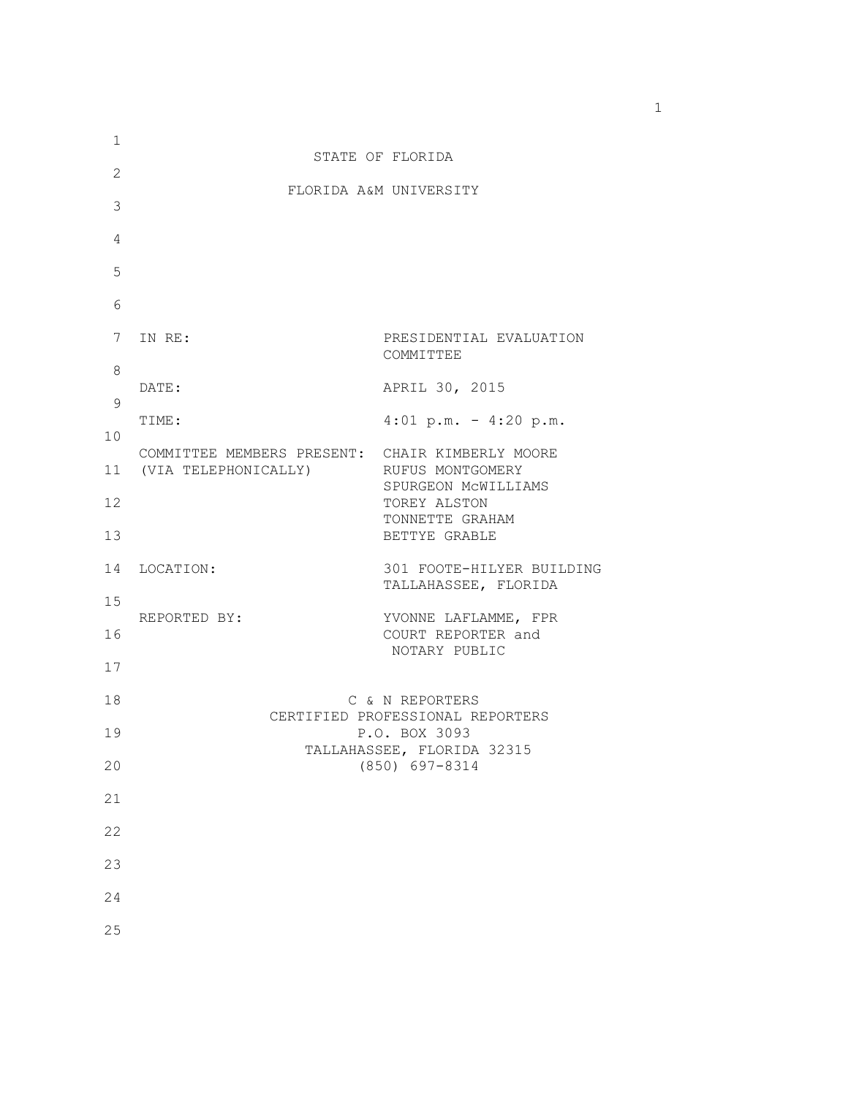| 1            |                                                                                             |                                                     |  |  |  |
|--------------|---------------------------------------------------------------------------------------------|-----------------------------------------------------|--|--|--|
| $\mathbf{2}$ | STATE OF FLORIDA                                                                            |                                                     |  |  |  |
| 3            | FLORIDA A&M UNIVERSITY                                                                      |                                                     |  |  |  |
| 4            |                                                                                             |                                                     |  |  |  |
|              |                                                                                             |                                                     |  |  |  |
| 5            |                                                                                             |                                                     |  |  |  |
| 6            |                                                                                             |                                                     |  |  |  |
| 7            | IN RE:                                                                                      | PRESIDENTIAL EVALUATION<br>COMMITTEE                |  |  |  |
| 8            | DATE:                                                                                       | APRIL 30, 2015                                      |  |  |  |
| 9            | TIME:                                                                                       | $4:01 \text{ p.m.} - 4:20 \text{ p.m.}$             |  |  |  |
| 10           |                                                                                             |                                                     |  |  |  |
|              | COMMITTEE MEMBERS PRESENT: CHAIR KIMBERLY MOORE<br>11 (VIA TELEPHONICALLY) RUFUS MONTGOMERY | SPURGEON MCWILLIAMS                                 |  |  |  |
| 12           |                                                                                             | TOREY ALSTON                                        |  |  |  |
| 13           |                                                                                             | TONNETTE GRAHAM<br>BETTYE GRABLE                    |  |  |  |
| 14           | LOCATION:                                                                                   | 301 FOOTE-HILYER BUILDING<br>TALLAHASSEE, FLORIDA   |  |  |  |
| 15           | REPORTED BY:                                                                                | YVONNE LAFLAMME, FPR                                |  |  |  |
| 16           |                                                                                             | COURT REPORTER and<br>NOTARY PUBLIC                 |  |  |  |
| 17           |                                                                                             |                                                     |  |  |  |
| 18           |                                                                                             | C & N REPORTERS<br>CERTIFIED PROFESSIONAL REPORTERS |  |  |  |
| 19           | P.O. BOX 3093<br>TALLAHASSEE, FLORIDA 32315<br>(850) 697-8314                               |                                                     |  |  |  |
| 20           |                                                                                             |                                                     |  |  |  |
| 21           |                                                                                             |                                                     |  |  |  |
| 22           |                                                                                             |                                                     |  |  |  |
| 23           |                                                                                             |                                                     |  |  |  |
| 24           |                                                                                             |                                                     |  |  |  |
| 25           |                                                                                             |                                                     |  |  |  |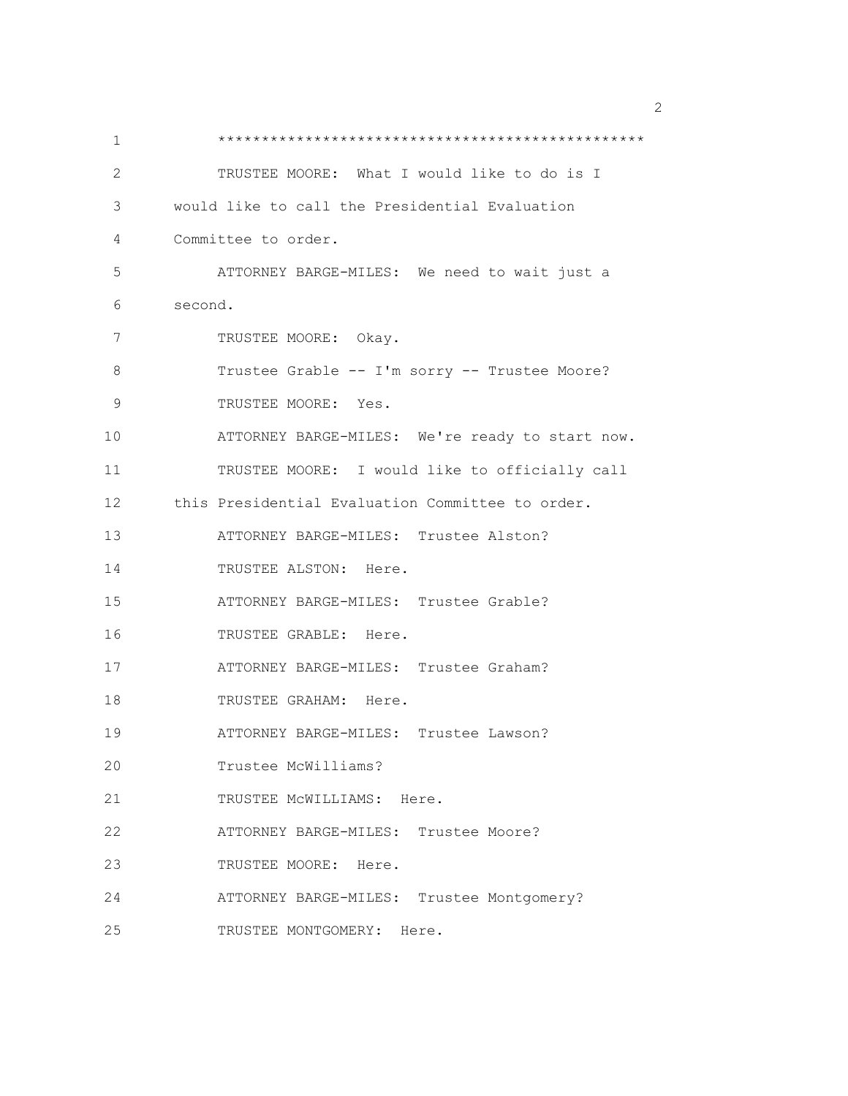1 \*\*\*\*\*\*\*\*\*\*\*\*\*\*\*\*\*\*\*\*\*\*\*\*\*\*\*\*\*\*\*\*\*\*\*\*\*\*\*\*\*\*\*\*\*\*\*\*\* 2 TRUSTEE MOORE: What I would like to do is I 3 would like to call the Presidential Evaluation 4 Committee to order. 5 ATTORNEY BARGE-MILES: We need to wait just a 6 second. 7 TRUSTEE MOORE: Okay. 8 Trustee Grable -- I'm sorry -- Trustee Moore? 9 TRUSTEE MOORE: Yes. 10 ATTORNEY BARGE-MILES: We're ready to start now. 11 TRUSTEE MOORE: I would like to officially call 12 this Presidential Evaluation Committee to order. 13 ATTORNEY BARGE-MILES: Trustee Alston? 14 TRUSTEE ALSTON: Here. 15 ATTORNEY BARGE-MILES: Trustee Grable? 16 TRUSTEE GRABLE: Here. 17 ATTORNEY BARGE-MILES: Trustee Graham? 18 TRUSTEE GRAHAM: Here. 19 ATTORNEY BARGE-MILES: Trustee Lawson? 20 Trustee McWilliams? 21 TRUSTEE McWILLIAMS: Here. 22 ATTORNEY BARGE-MILES: Trustee Moore? 23 TRUSTEE MOORE: Here. 24 ATTORNEY BARGE-MILES: Trustee Montgomery? 25 TRUSTEE MONTGOMERY: Here.

 $\sim$  2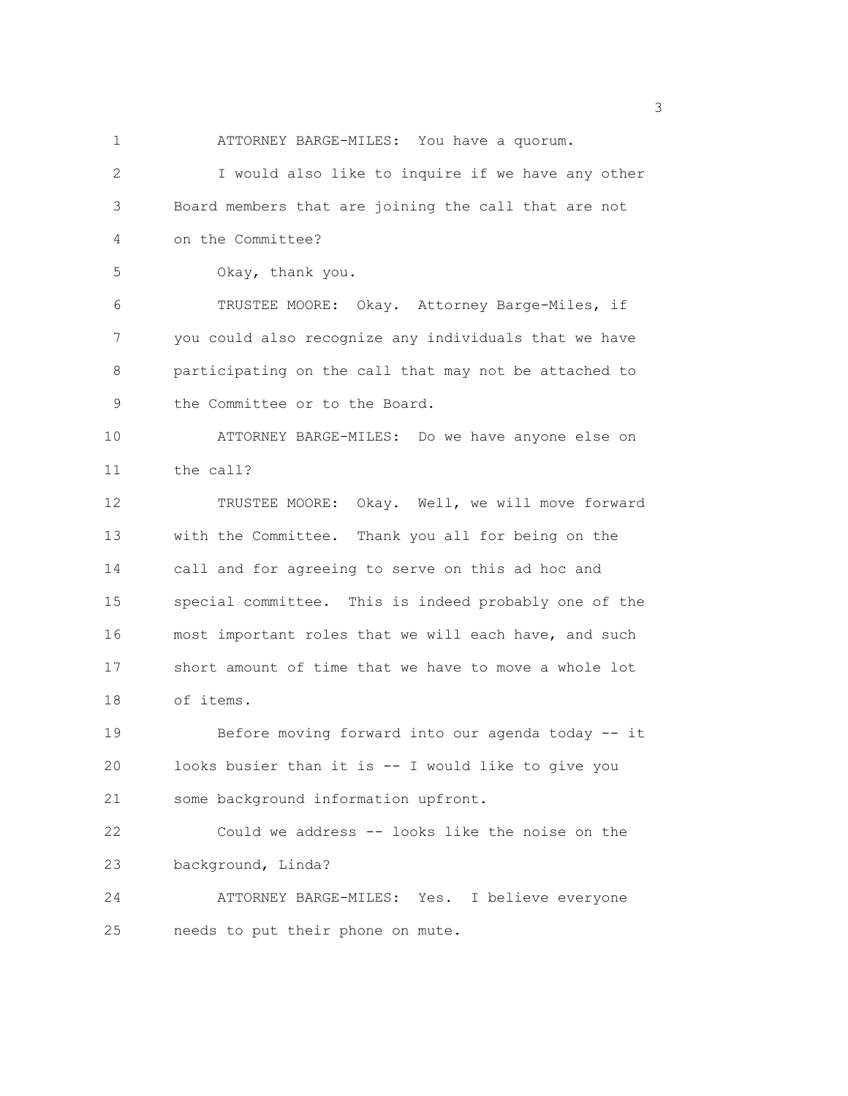1 ATTORNEY BARGE-MILES: You have a quorum. 2 I would also like to inquire if we have any other 3 Board members that are joining the call that are not 4 on the Committee? 5 Okay, thank you. 6 TRUSTEE MOORE: Okay. Attorney Barge-Miles, if 7 you could also recognize any individuals that we have 8 participating on the call that may not be attached to 9 the Committee or to the Board. 10 ATTORNEY BARGE-MILES: Do we have anyone else on 11 the call? 12 TRUSTEE MOORE: Okay. Well, we will move forward 13 with the Committee. Thank you all for being on the 14 call and for agreeing to serve on this ad hoc and 15 special committee. This is indeed probably one of the 16 most important roles that we will each have, and such 17 short amount of time that we have to move a whole lot 18 of items. 19 Before moving forward into our agenda today -- it 20 looks busier than it is -- I would like to give you 21 some background information upfront. 22 Could we address -- looks like the noise on the 23 background, Linda? 24 ATTORNEY BARGE-MILES: Yes. I believe everyone 25 needs to put their phone on mute.

 $\sim$  3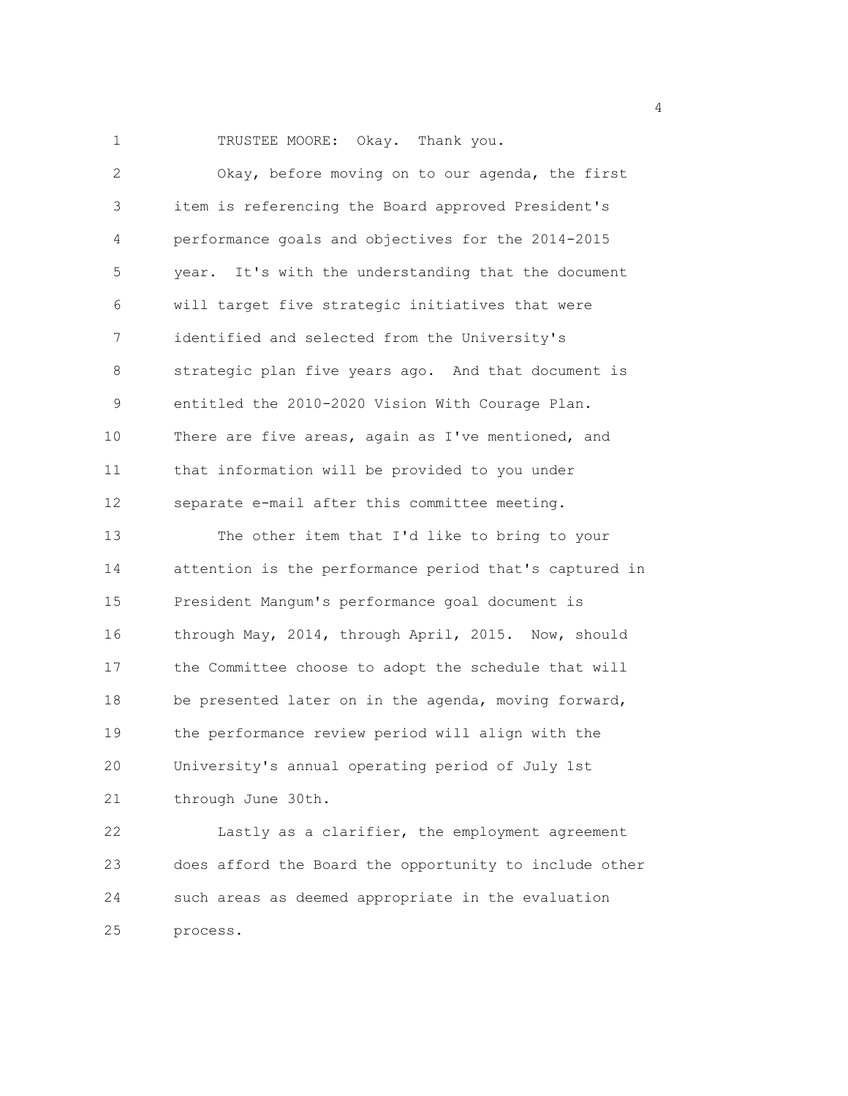1 TRUSTEE MOORE: Okay. Thank you.

| $\overline{2}$ | Okay, before moving on to our agenda, the first        |  |  |  |  |  |
|----------------|--------------------------------------------------------|--|--|--|--|--|
| 3              | item is referencing the Board approved President's     |  |  |  |  |  |
| 4              | performance goals and objectives for the 2014-2015     |  |  |  |  |  |
| 5              | year. It's with the understanding that the document    |  |  |  |  |  |
| 6              | will target five strategic initiatives that were       |  |  |  |  |  |
| 7              | identified and selected from the University's          |  |  |  |  |  |
| 8              | strategic plan five years ago. And that document is    |  |  |  |  |  |
| 9              | entitled the 2010-2020 Vision With Courage Plan.       |  |  |  |  |  |
| 10             | There are five areas, again as I've mentioned, and     |  |  |  |  |  |
| 11             | that information will be provided to you under         |  |  |  |  |  |
| 12             | separate e-mail after this committee meeting.          |  |  |  |  |  |
| 13             | The other item that I'd like to bring to your          |  |  |  |  |  |
| 14             | attention is the performance period that's captured in |  |  |  |  |  |
| 15             | President Mangum's performance goal document is        |  |  |  |  |  |
| 16             | through May, 2014, through April, 2015. Now, should    |  |  |  |  |  |
| 17             | the Committee choose to adopt the schedule that will   |  |  |  |  |  |
| 18             | be presented later on in the agenda, moving forward,   |  |  |  |  |  |
| 19             | the performance review period will align with the      |  |  |  |  |  |
| 20             | University's annual operating period of July 1st       |  |  |  |  |  |
| 21             | through June 30th.                                     |  |  |  |  |  |
| 22             | Lastly as a clarifier, the employment agreement        |  |  |  |  |  |
| 23             | does afford the Board the opportunity to include other |  |  |  |  |  |
| 24             | such areas as deemed appropriate in the evaluation     |  |  |  |  |  |
| 25             | process.                                               |  |  |  |  |  |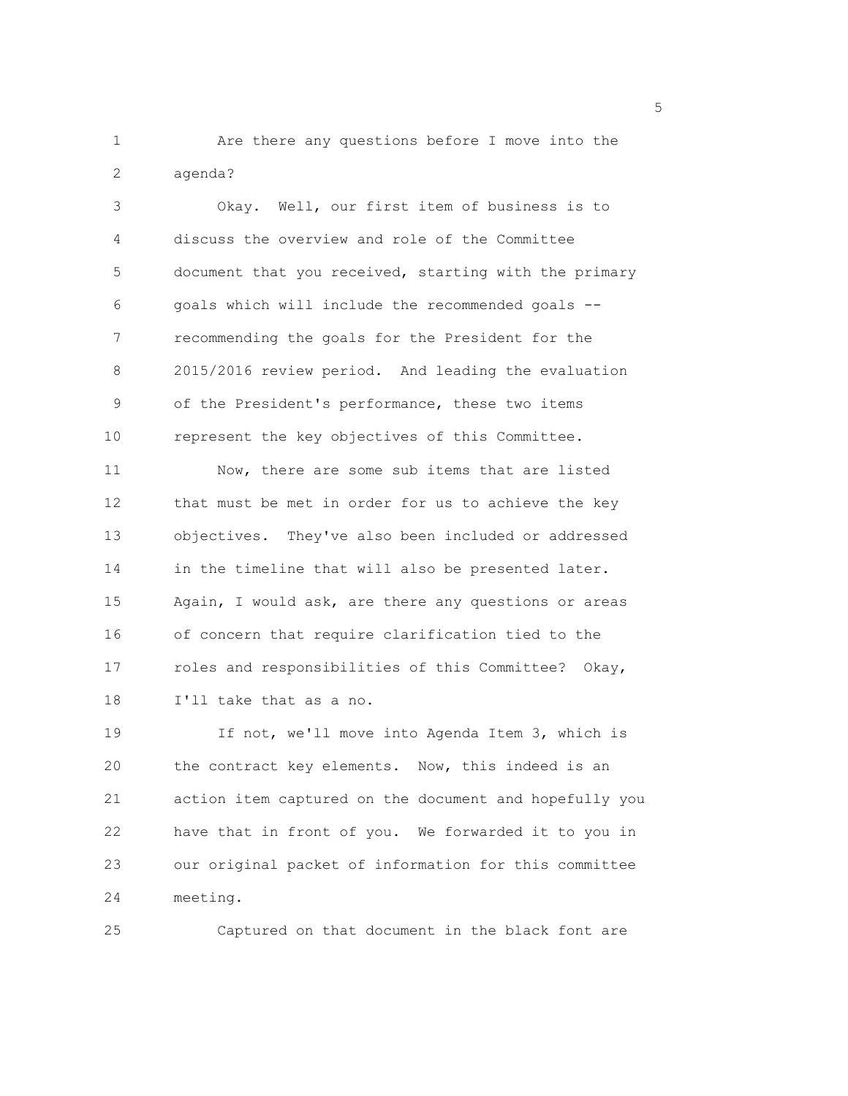1 Are there any questions before I move into the 2 agenda?

3 Okay. Well, our first item of business is to 4 discuss the overview and role of the Committee 5 document that you received, starting with the primary 6 goals which will include the recommended goals -- 7 recommending the goals for the President for the 8 2015/2016 review period. And leading the evaluation 9 of the President's performance, these two items 10 represent the key objectives of this Committee. 11 Now, there are some sub items that are listed 12 that must be met in order for us to achieve the key 13 objectives. They've also been included or addressed 14 in the timeline that will also be presented later. 15 Again, I would ask, are there any questions or areas 16 of concern that require clarification tied to the 17 roles and responsibilities of this Committee? Okay, 18 I'll take that as a no. 19 If not, we'll move into Agenda Item 3, which is

20 the contract key elements. Now, this indeed is an 21 action item captured on the document and hopefully you 22 have that in front of you. We forwarded it to you in 23 our original packet of information for this committee 24 meeting.

25 Captured on that document in the black font are

<u>5</u> September 2005 and 2006 and 2007 and 2007 and 2008 and 2007 and 2008 and 2008 and 2008 and 2008 and 2008 and 2008 and 2008 and 2008 and 2008 and 2008 and 2008 and 2008 and 2008 and 2008 and 2008 and 2008 and 2008 and 2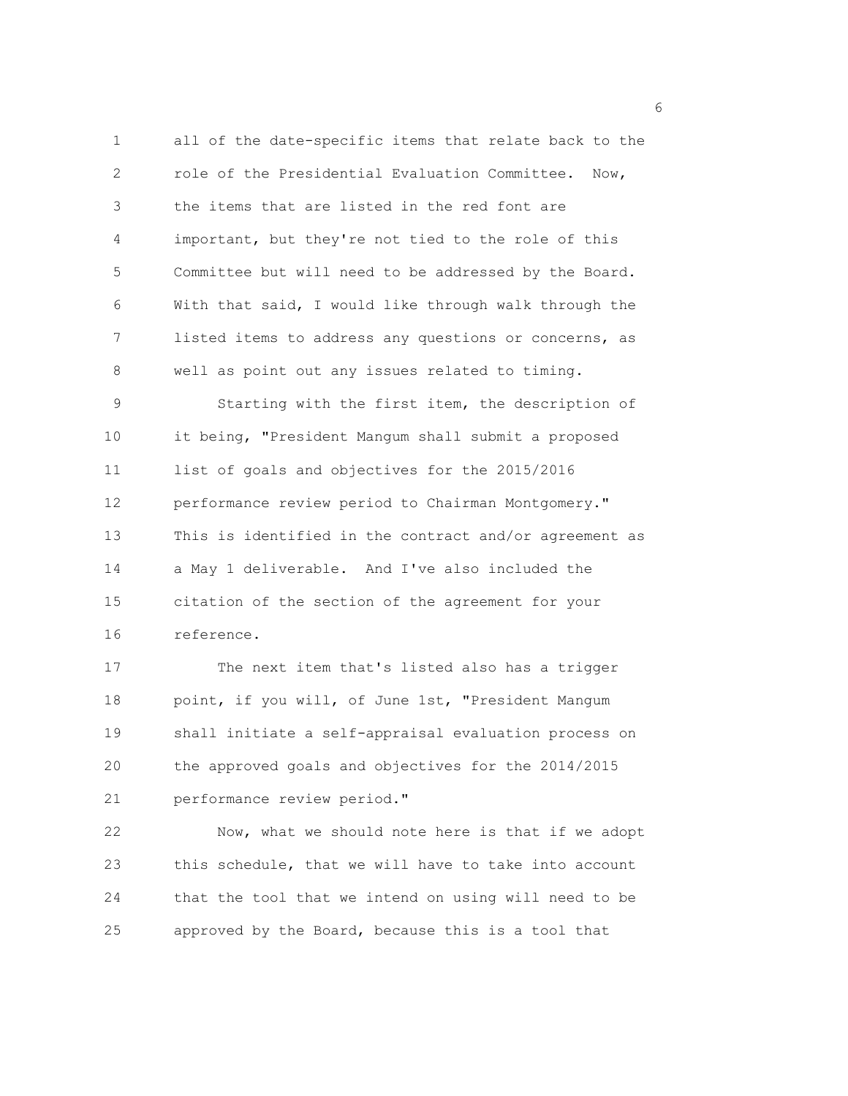1 all of the date-specific items that relate back to the 2 role of the Presidential Evaluation Committee. Now, 3 the items that are listed in the red font are 4 important, but they're not tied to the role of this 5 Committee but will need to be addressed by the Board. 6 With that said, I would like through walk through the 7 listed items to address any questions or concerns, as 8 well as point out any issues related to timing. 9 Starting with the first item, the description of 10 it being, "President Mangum shall submit a proposed 11 list of goals and objectives for the 2015/2016 12 performance review period to Chairman Montgomery." 13 This is identified in the contract and/or agreement as 14 a May 1 deliverable. And I've also included the 15 citation of the section of the agreement for your 16 reference.

17 The next item that's listed also has a trigger 18 point, if you will, of June 1st, "President Mangum 19 shall initiate a self-appraisal evaluation process on 20 the approved goals and objectives for the 2014/2015 21 performance review period."

22 Now, what we should note here is that if we adopt 23 this schedule, that we will have to take into account 24 that the tool that we intend on using will need to be 25 approved by the Board, because this is a tool that

<u>6</u> and the contract of the contract of the contract of the contract of the contract of the contract of the contract of the contract of the contract of the contract of the contract of the contract of the contract of the co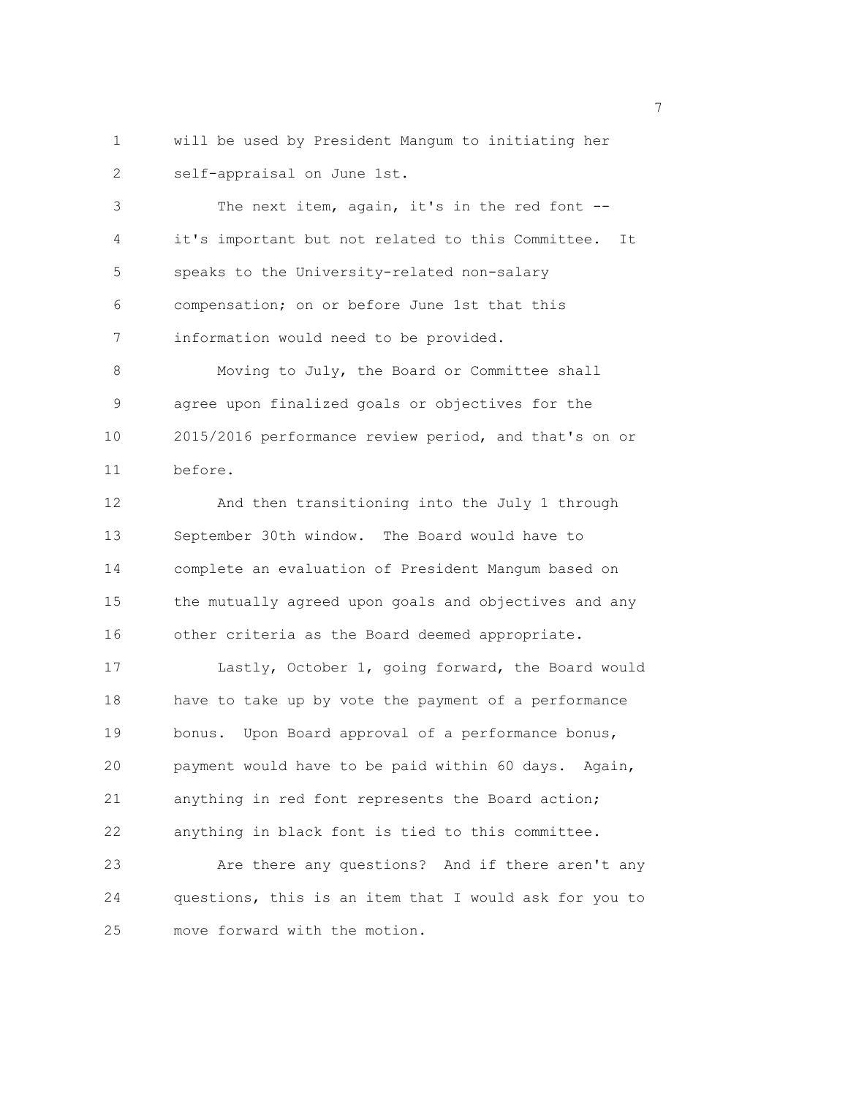1 will be used by President Mangum to initiating her 2 self-appraisal on June 1st.

3 The next item, again, it's in the red font -- 4 it's important but not related to this Committee. It 5 speaks to the University-related non-salary 6 compensation; on or before June 1st that this 7 information would need to be provided.

8 Moving to July, the Board or Committee shall 9 agree upon finalized goals or objectives for the 10 2015/2016 performance review period, and that's on or 11 before.

12 And then transitioning into the July 1 through 13 September 30th window. The Board would have to 14 complete an evaluation of President Mangum based on 15 the mutually agreed upon goals and objectives and any 16 other criteria as the Board deemed appropriate.

17 Lastly, October 1, going forward, the Board would 18 have to take up by vote the payment of a performance 19 bonus. Upon Board approval of a performance bonus, 20 payment would have to be paid within 60 days. Again, 21 anything in red font represents the Board action; 22 anything in black font is tied to this committee. 23 Are there any questions? And if there aren't any

24 questions, this is an item that I would ask for you to 25 move forward with the motion.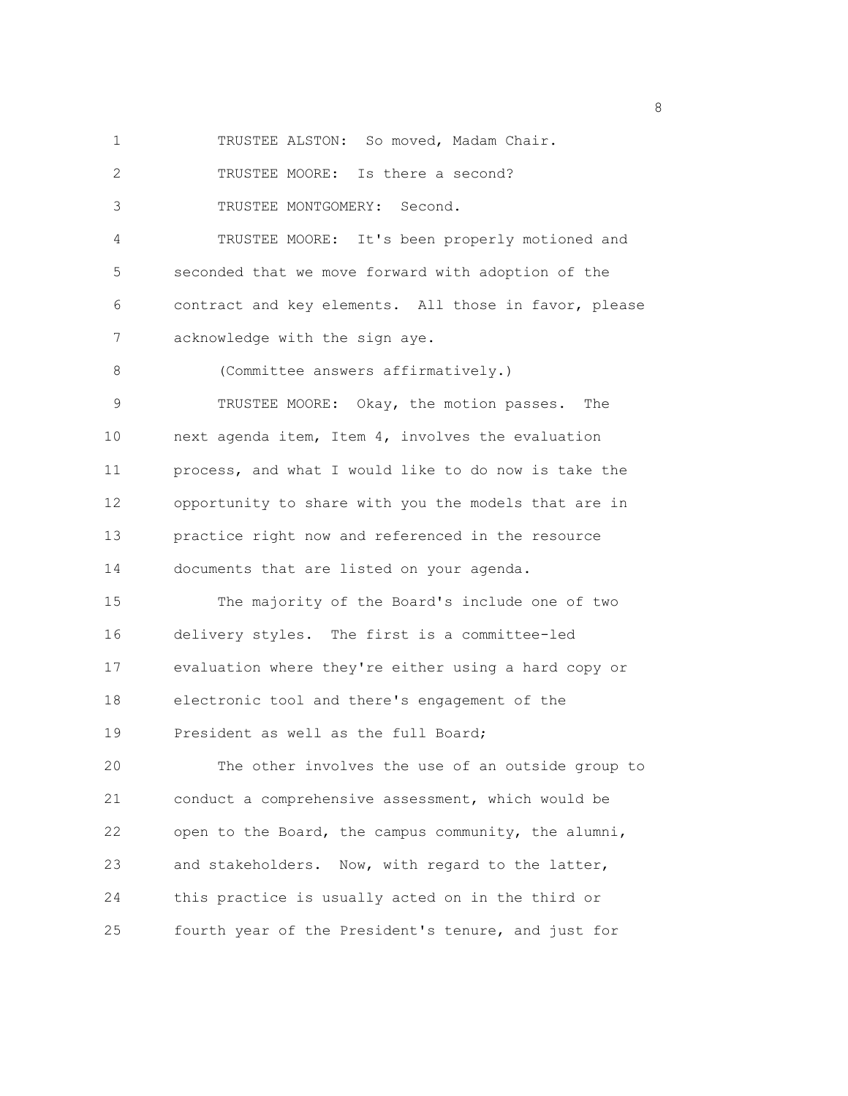1 TRUSTEE ALSTON: So moved, Madam Chair.

2 TRUSTEE MOORE: Is there a second?

3 TRUSTEE MONTGOMERY: Second.

4 TRUSTEE MOORE: It's been properly motioned and 5 seconded that we move forward with adoption of the 6 contract and key elements. All those in favor, please 7 acknowledge with the sign aye.

8 (Committee answers affirmatively.)

9 TRUSTEE MOORE: Okay, the motion passes. The 10 next agenda item, Item 4, involves the evaluation 11 process, and what I would like to do now is take the 12 opportunity to share with you the models that are in 13 practice right now and referenced in the resource 14 documents that are listed on your agenda.

15 The majority of the Board's include one of two 16 delivery styles. The first is a committee-led 17 evaluation where they're either using a hard copy or 18 electronic tool and there's engagement of the 19 President as well as the full Board;

20 The other involves the use of an outside group to 21 conduct a comprehensive assessment, which would be 22 open to the Board, the campus community, the alumni, 23 and stakeholders. Now, with regard to the latter, 24 this practice is usually acted on in the third or 25 fourth year of the President's tenure, and just for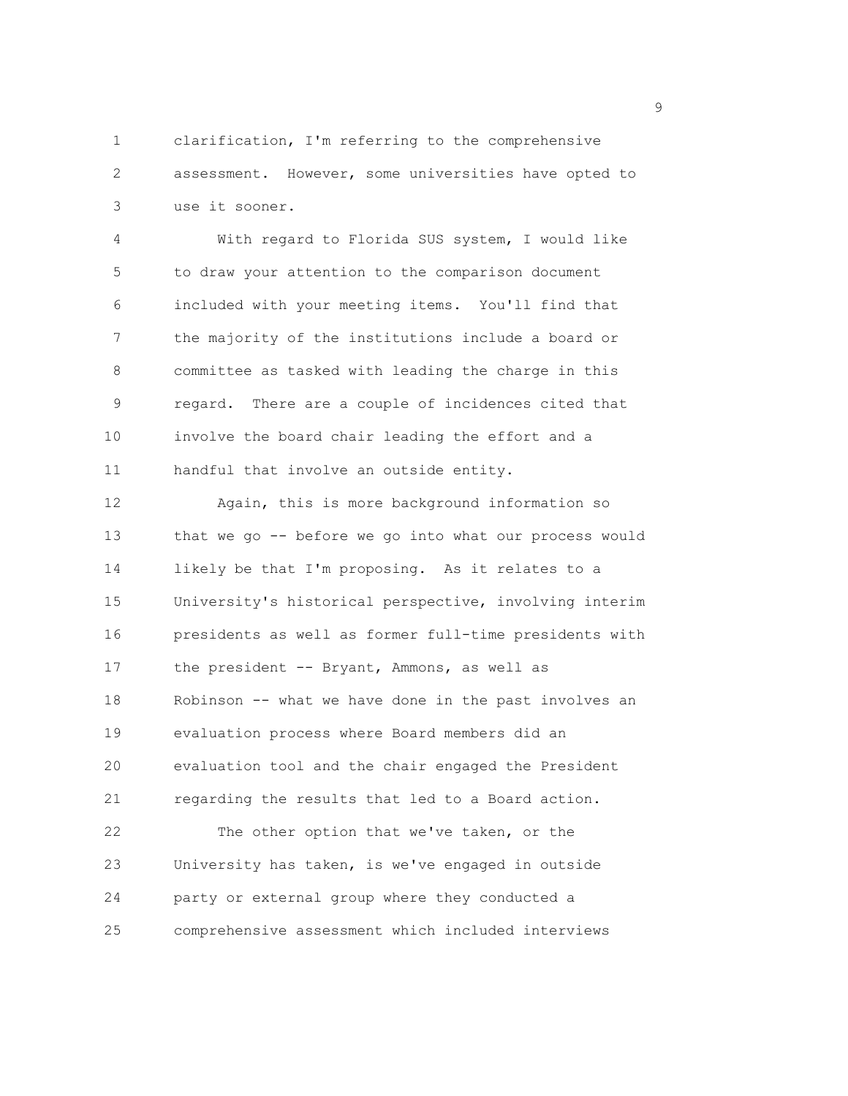1 clarification, I'm referring to the comprehensive 2 assessment. However, some universities have opted to 3 use it sooner.

4 With regard to Florida SUS system, I would like 5 to draw your attention to the comparison document 6 included with your meeting items. You'll find that 7 the majority of the institutions include a board or 8 committee as tasked with leading the charge in this 9 regard. There are a couple of incidences cited that 10 involve the board chair leading the effort and a 11 handful that involve an outside entity.

12 Again, this is more background information so 13 that we go -- before we go into what our process would 14 likely be that I'm proposing. As it relates to a 15 University's historical perspective, involving interim 16 presidents as well as former full-time presidents with 17 the president -- Bryant, Ammons, as well as 18 Robinson -- what we have done in the past involves an 19 evaluation process where Board members did an 20 evaluation tool and the chair engaged the President 21 regarding the results that led to a Board action. 22 The other option that we've taken, or the 23 University has taken, is we've engaged in outside

24 party or external group where they conducted a

25 comprehensive assessment which included interviews

en de la provincia de la provincia de la provincia de la provincia de la provincia de la provincia de la provi<br>1900 : la provincia de la provincia de la provincia de la provincia de la provincia de la provincia de la prov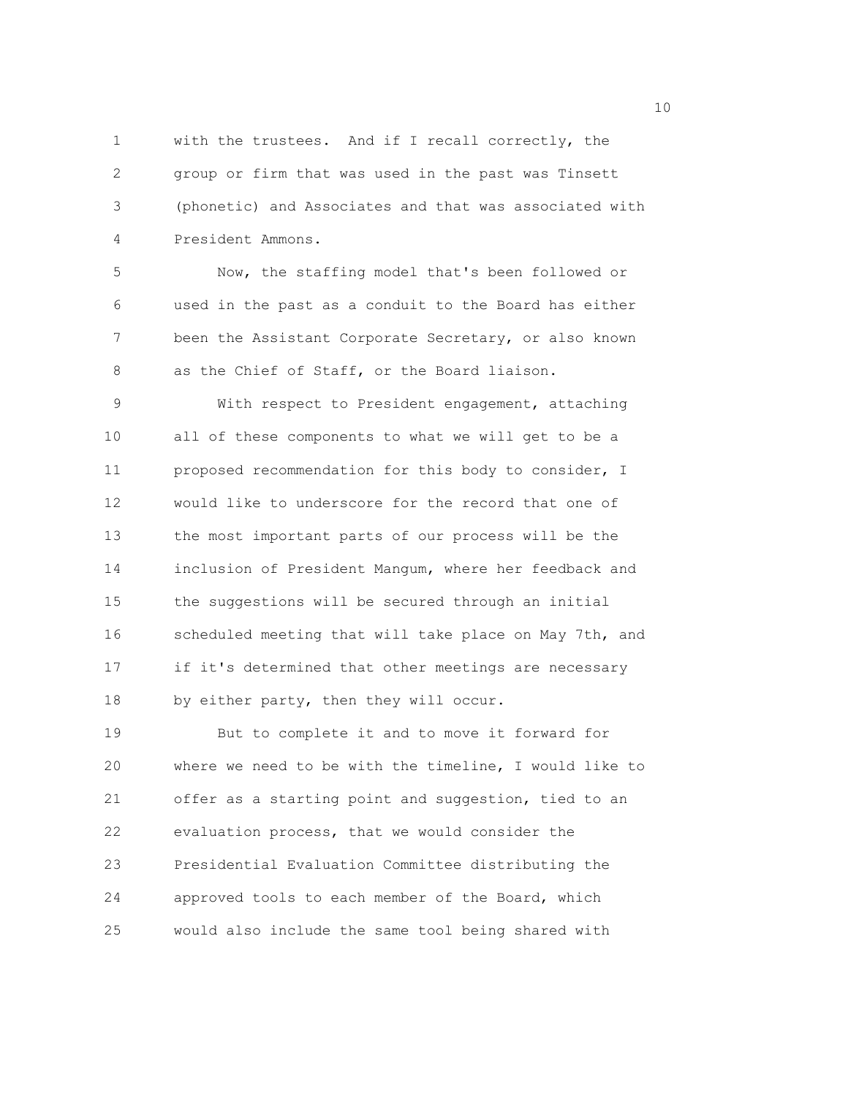1 with the trustees. And if I recall correctly, the 2 group or firm that was used in the past was Tinsett 3 (phonetic) and Associates and that was associated with 4 President Ammons.

5 Now, the staffing model that's been followed or 6 used in the past as a conduit to the Board has either 7 been the Assistant Corporate Secretary, or also known 8 as the Chief of Staff, or the Board liaison.

9 With respect to President engagement, attaching 10 all of these components to what we will get to be a 11 proposed recommendation for this body to consider, I 12 would like to underscore for the record that one of 13 the most important parts of our process will be the 14 inclusion of President Mangum, where her feedback and 15 the suggestions will be secured through an initial 16 scheduled meeting that will take place on May 7th, and 17 if it's determined that other meetings are necessary 18 by either party, then they will occur.

19 But to complete it and to move it forward for 20 where we need to be with the timeline, I would like to 21 offer as a starting point and suggestion, tied to an 22 evaluation process, that we would consider the 23 Presidential Evaluation Committee distributing the 24 approved tools to each member of the Board, which 25 would also include the same tool being shared with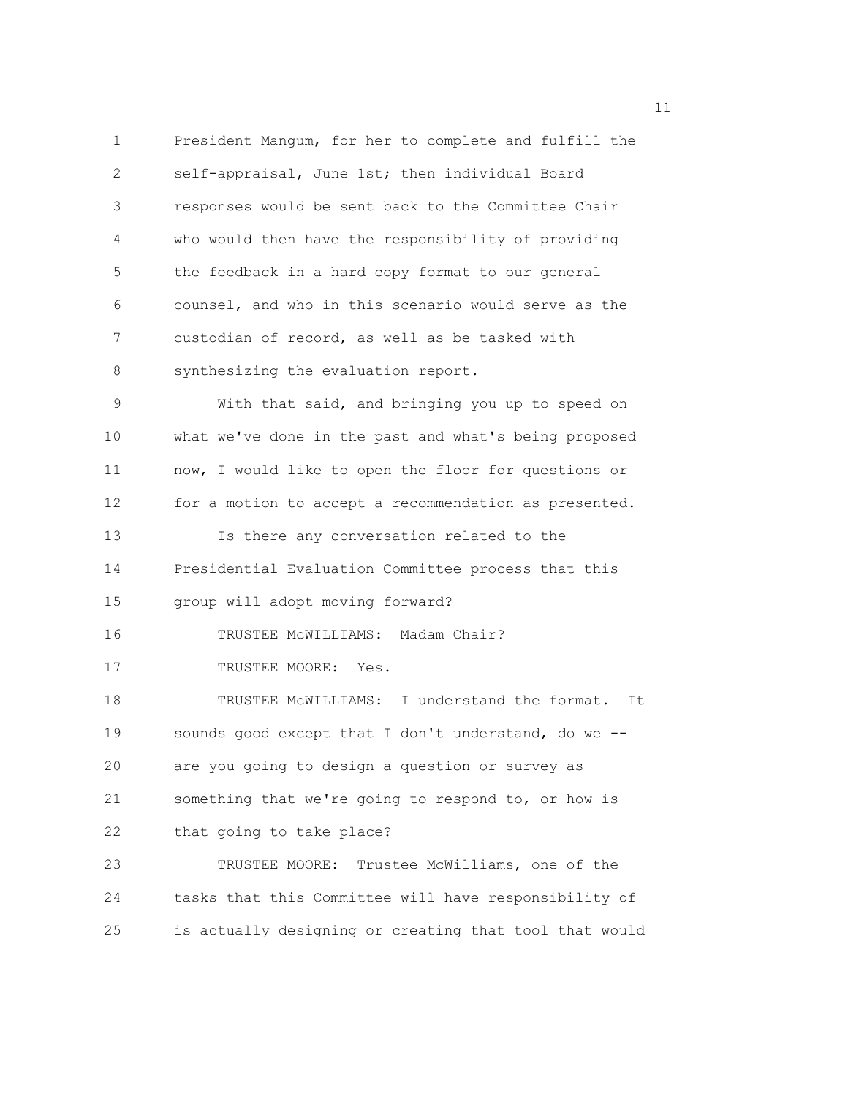1 President Mangum, for her to complete and fulfill the 2 self-appraisal, June 1st; then individual Board 3 responses would be sent back to the Committee Chair 4 who would then have the responsibility of providing 5 the feedback in a hard copy format to our general 6 counsel, and who in this scenario would serve as the 7 custodian of record, as well as be tasked with 8 synthesizing the evaluation report. 9 With that said, and bringing you up to speed on 10 what we've done in the past and what's being proposed 11 now, I would like to open the floor for questions or 12 for a motion to accept a recommendation as presented. 13 Is there any conversation related to the 14 Presidential Evaluation Committee process that this 15 group will adopt moving forward? 16 TRUSTEE McWILLIAMS: Madam Chair? 17 TRUSTEE MOORE: Yes. 18 TRUSTEE McWILLIAMS: I understand the format. It 19 sounds good except that I don't understand, do we -- 20 are you going to design a question or survey as 21 something that we're going to respond to, or how is 22 that going to take place? 23 TRUSTEE MOORE: Trustee McWilliams, one of the 24 tasks that this Committee will have responsibility of 25 is actually designing or creating that tool that would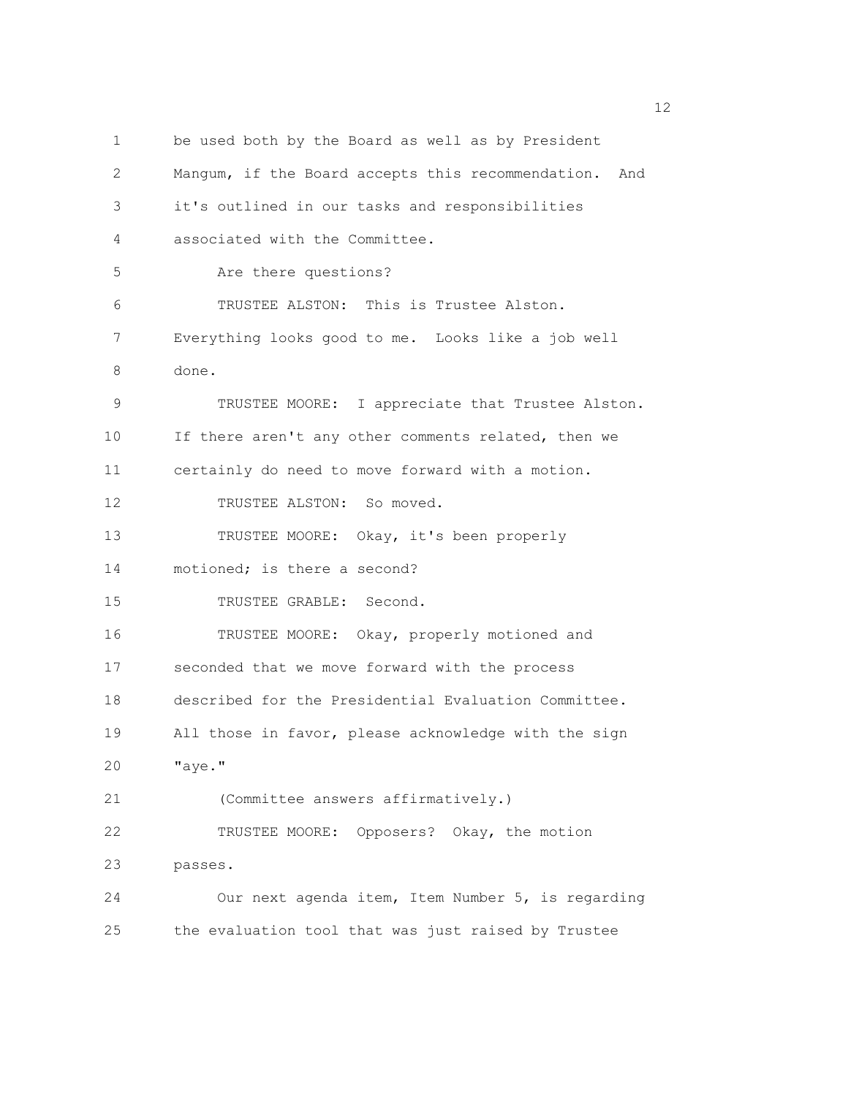1 be used both by the Board as well as by President 2 Mangum, if the Board accepts this recommendation. And 3 it's outlined in our tasks and responsibilities 4 associated with the Committee. 5 Are there questions? 6 TRUSTEE ALSTON: This is Trustee Alston. 7 Everything looks good to me. Looks like a job well 8 done. 9 TRUSTEE MOORE: I appreciate that Trustee Alston. 10 If there aren't any other comments related, then we 11 certainly do need to move forward with a motion. 12 TRUSTEE ALSTON: So moved. 13 TRUSTEE MOORE: Okay, it's been properly 14 motioned; is there a second? 15 TRUSTEE GRABLE: Second. 16 TRUSTEE MOORE: Okay, properly motioned and 17 seconded that we move forward with the process 18 described for the Presidential Evaluation Committee. 19 All those in favor, please acknowledge with the sign 20 "aye." 21 (Committee answers affirmatively.) 22 TRUSTEE MOORE: Opposers? Okay, the motion 23 passes. 24 Our next agenda item, Item Number 5, is regarding 25 the evaluation tool that was just raised by Trustee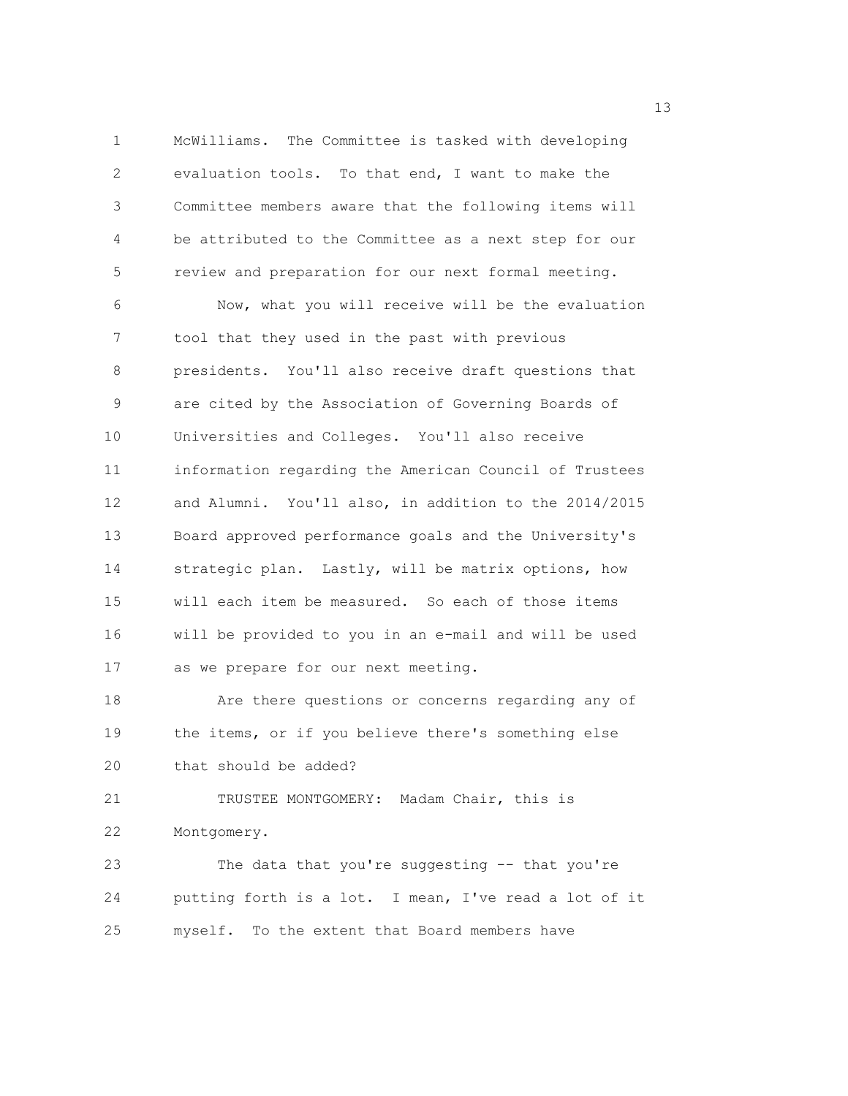1 McWilliams. The Committee is tasked with developing 2 evaluation tools. To that end, I want to make the 3 Committee members aware that the following items will 4 be attributed to the Committee as a next step for our 5 review and preparation for our next formal meeting. 6 Now, what you will receive will be the evaluation 7 tool that they used in the past with previous 8 presidents. You'll also receive draft questions that 9 are cited by the Association of Governing Boards of 10 Universities and Colleges. You'll also receive 11 information regarding the American Council of Trustees 12 and Alumni. You'll also, in addition to the 2014/2015 13 Board approved performance goals and the University's 14 strategic plan. Lastly, will be matrix options, how 15 will each item be measured. So each of those items 16 will be provided to you in an e-mail and will be used 17 as we prepare for our next meeting. 18 Are there questions or concerns regarding any of 19 the items, or if you believe there's something else 20 that should be added? 21 TRUSTEE MONTGOMERY: Madam Chair, this is 22 Montgomery.

23 The data that you're suggesting -- that you're 24 putting forth is a lot. I mean, I've read a lot of it 25 myself. To the extent that Board members have

13 and 13 and 13 and 13 and 13 and 13 and 13 and 13 and 13 and 13 and 13 and 13 and 13 and 13 and 13 and 13 and 13 and 13 and 13 and 13 and 13 and 13 and 13 and 13 and 13 and 13 and 13 and 13 and 13 and 13 and 13 and 13 an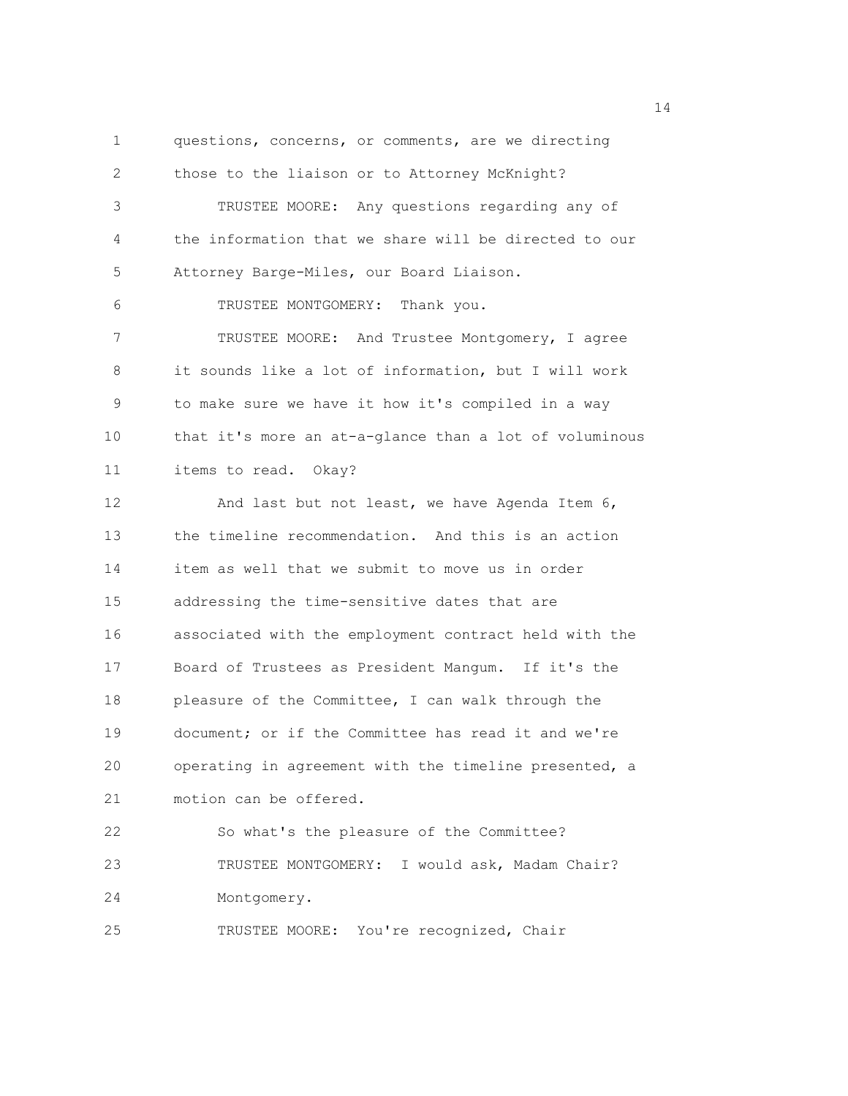1 questions, concerns, or comments, are we directing 2 those to the liaison or to Attorney McKnight? 3 TRUSTEE MOORE: Any questions regarding any of 4 the information that we share will be directed to our 5 Attorney Barge-Miles, our Board Liaison. 6 TRUSTEE MONTGOMERY: Thank you. 7 TRUSTEE MOORE: And Trustee Montgomery, I agree 8 it sounds like a lot of information, but I will work 9 to make sure we have it how it's compiled in a way 10 that it's more an at-a-glance than a lot of voluminous 11 items to read. Okay? 12 And last but not least, we have Agenda Item 6, 13 the timeline recommendation. And this is an action 14 item as well that we submit to move us in order 15 addressing the time-sensitive dates that are 16 associated with the employment contract held with the 17 Board of Trustees as President Mangum. If it's the 18 pleasure of the Committee, I can walk through the 19 document; or if the Committee has read it and we're 20 operating in agreement with the timeline presented, a 21 motion can be offered. 22 So what's the pleasure of the Committee? 23 TRUSTEE MONTGOMERY: I would ask, Madam Chair? 24 Montgomery. 25 TRUSTEE MOORE: You're recognized, Chair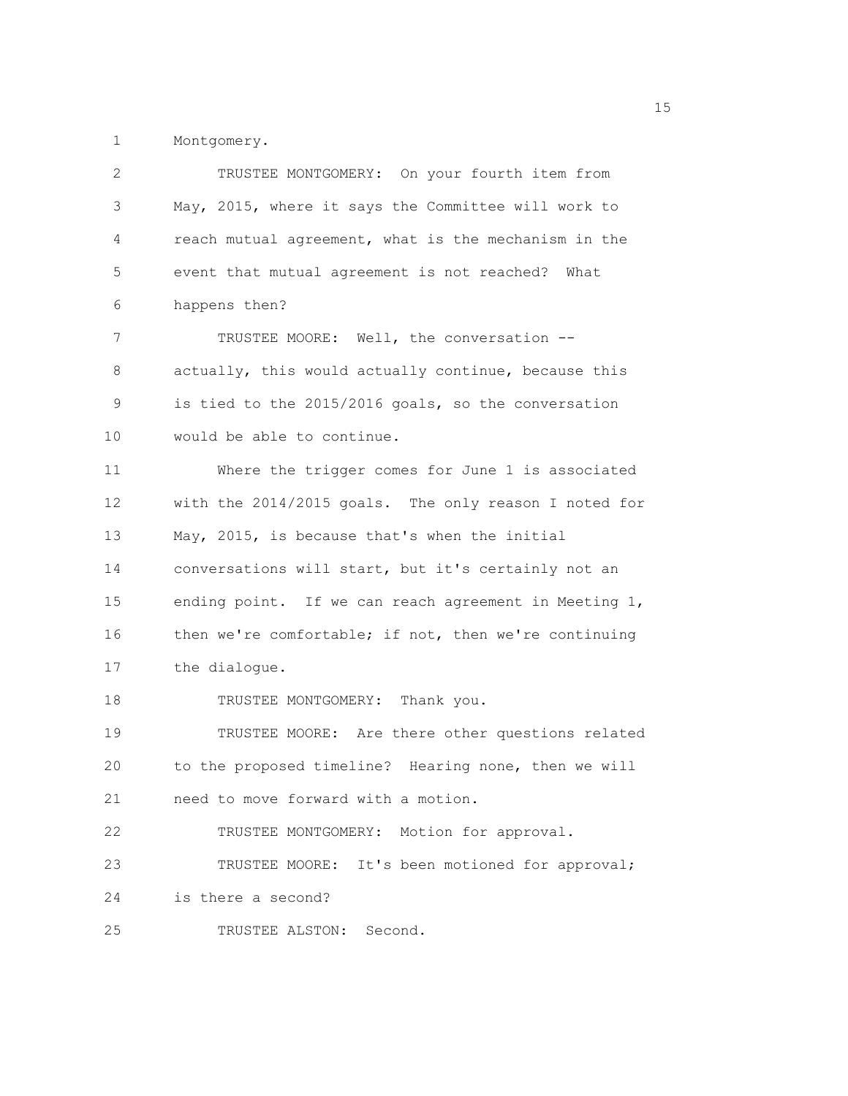1 Montgomery.

| 2           | TRUSTEE MONTGOMERY: On your fourth item from          |  |  |  |  |  |
|-------------|-------------------------------------------------------|--|--|--|--|--|
| 3           | May, 2015, where it says the Committee will work to   |  |  |  |  |  |
| 4           | reach mutual agreement, what is the mechanism in the  |  |  |  |  |  |
| 5           | event that mutual agreement is not reached? What      |  |  |  |  |  |
| 6           | happens then?                                         |  |  |  |  |  |
| 7           | TRUSTEE MOORE: Well, the conversation --              |  |  |  |  |  |
| 8           | actually, this would actually continue, because this  |  |  |  |  |  |
| $\mathsf 9$ | is tied to the 2015/2016 goals, so the conversation   |  |  |  |  |  |
| 10          | would be able to continue.                            |  |  |  |  |  |
| 11          | Where the trigger comes for June 1 is associated      |  |  |  |  |  |
| 12          | with the 2014/2015 goals. The only reason I noted for |  |  |  |  |  |
| 13          | May, 2015, is because that's when the initial         |  |  |  |  |  |
| 14          | conversations will start, but it's certainly not an   |  |  |  |  |  |
| 15          | ending point. If we can reach agreement in Meeting 1, |  |  |  |  |  |
| 16          | then we're comfortable; if not, then we're continuing |  |  |  |  |  |
| 17          | the dialogue.                                         |  |  |  |  |  |
| 18          | TRUSTEE MONTGOMERY: Thank you.                        |  |  |  |  |  |
| 19          | TRUSTEE MOORE: Are there other questions related      |  |  |  |  |  |
| 20          | to the proposed timeline? Hearing none, then we will  |  |  |  |  |  |
| 21          | need to move forward with a motion.                   |  |  |  |  |  |
| 22          | TRUSTEE MONTGOMERY: Motion for approval.              |  |  |  |  |  |
| 23          | TRUSTEE MOORE: It's been motioned for approval;       |  |  |  |  |  |
| 24          | is there a second?                                    |  |  |  |  |  |
| 25          | TRUSTEE ALSTON: Second.                               |  |  |  |  |  |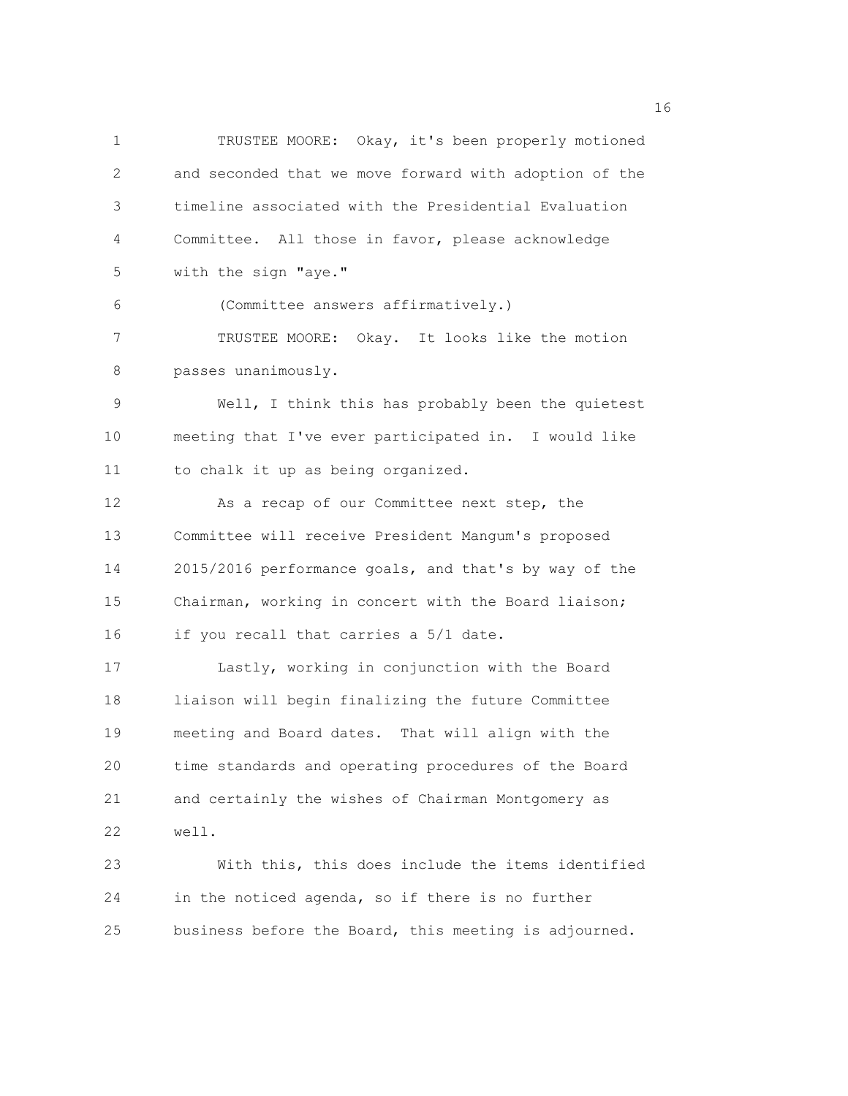1 TRUSTEE MOORE: Okay, it's been properly motioned 2 and seconded that we move forward with adoption of the 3 timeline associated with the Presidential Evaluation 4 Committee. All those in favor, please acknowledge 5 with the sign "aye." 6 (Committee answers affirmatively.) 7 TRUSTEE MOORE: Okay. It looks like the motion 8 passes unanimously. 9 Well, I think this has probably been the quietest 10 meeting that I've ever participated in. I would like 11 to chalk it up as being organized. 12 As a recap of our Committee next step, the 13 Committee will receive President Mangum's proposed 14 2015/2016 performance goals, and that's by way of the 15 Chairman, working in concert with the Board liaison; 16 if you recall that carries a 5/1 date. 17 Lastly, working in conjunction with the Board 18 liaison will begin finalizing the future Committee 19 meeting and Board dates. That will align with the 20 time standards and operating procedures of the Board 21 and certainly the wishes of Chairman Montgomery as 22 well. 23 With this, this does include the items identified 24 in the noticed agenda, so if there is no further 25 business before the Board, this meeting is adjourned.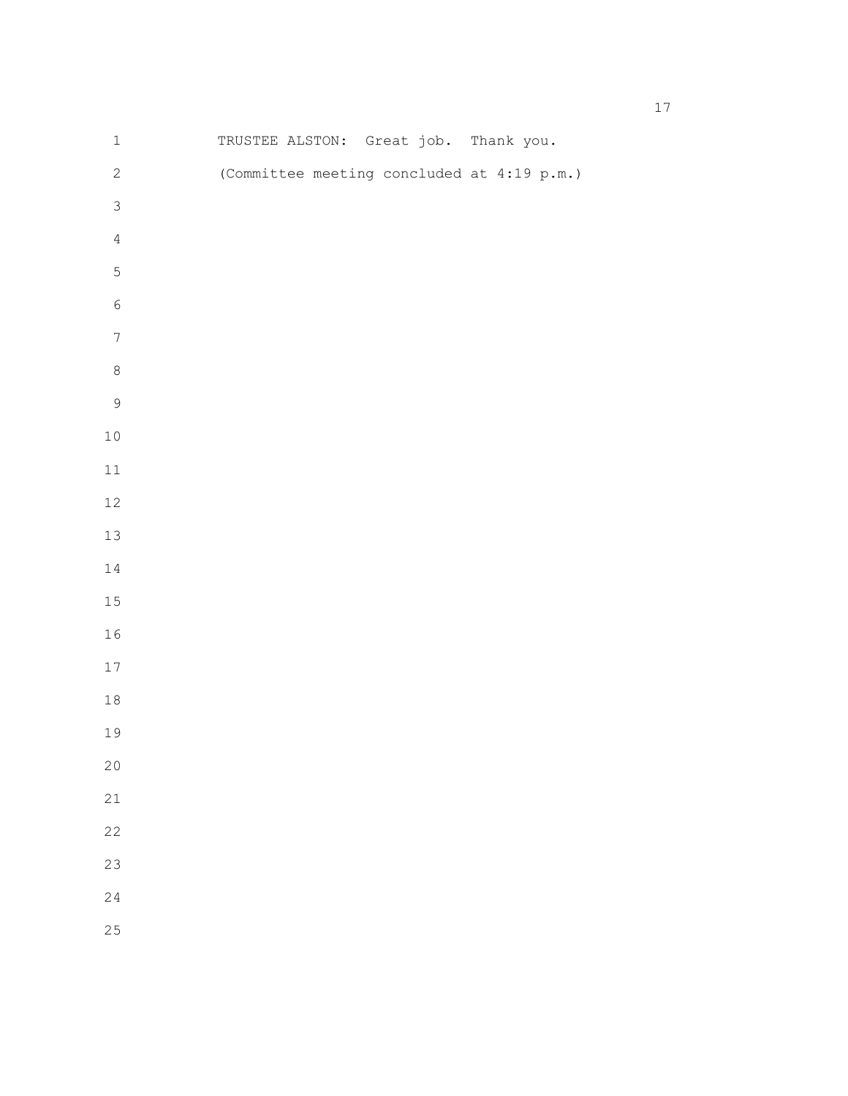| $\mathbf 1$      |  | TRUSTEE ALSTON: Great job. Thank you.      |  |
|------------------|--|--------------------------------------------|--|
| $\mathbf{2}$     |  | (Committee meeting concluded at 4:19 p.m.) |  |
| $\mathsf 3$      |  |                                            |  |
| $\sqrt{4}$       |  |                                            |  |
| $\overline{5}$   |  |                                            |  |
| $\sqrt{6}$       |  |                                            |  |
| $\boldsymbol{7}$ |  |                                            |  |
| $\,8\,$          |  |                                            |  |
| $\mathsf 9$      |  |                                            |  |
| $10\,$           |  |                                            |  |
| $11\,$           |  |                                            |  |
| $12\,$           |  |                                            |  |
| $13\,$           |  |                                            |  |
| $1\,4$           |  |                                            |  |
| $15\,$           |  |                                            |  |
| $16\,$           |  |                                            |  |
| $17\,$           |  |                                            |  |
| $1\,8$           |  |                                            |  |
| 19               |  |                                            |  |
| 20               |  |                                            |  |
| $2\sqrt{1}$      |  |                                            |  |
| 22               |  |                                            |  |
| 23               |  |                                            |  |
| 24               |  |                                            |  |
| 25               |  |                                            |  |